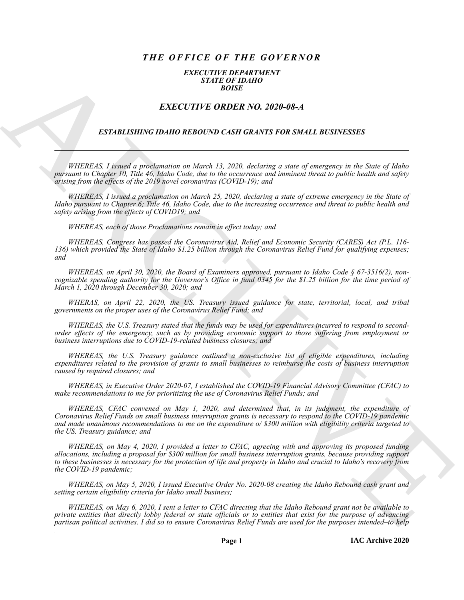# *THE OFFICE OF THE GOVERNOR*

### *EXECUTIVE DEPARTMENT STATE OF IDAHO BOISE*

# *EXECUTIVE ORDER NO. 2020-08-A*

### *ESTABLISHING IDAHO REBOUND CASH GRANTS FOR SMALL BUSINESSES*

*WHEREAS, I issued a proclamation on March 13, 2020, declaring a state of emergency in the State of Idaho pursuant to Chapter 10, Title 46, Idaho Code, due to the occurrence and imminent threat to public health and safety arising from the effects of the 2019 novel coronavirus (COVID-19); and*

*WHEREAS, I issued a proclamation on March 25, 2020, declaring a state of extreme emergency in the State of Idaho pursuant to Chapter 6; Title 46, Idaho Code, due to the increasing occurrence and threat to public health and safety arising from the effects of COVID19; and*

*WHEREAS, each of those Proclamations remain in effect today; and*

*WHEREAS, Congress has passed the Coronavirus Aid, Relief and Economic Security (CARES) Act (P.L. 116- 136) which provided the State of Idaho \$1.25 billion through the Coronavirus Relief Fund for qualifying expenses; and*

*WHEREAS, on April 30, 2020, the Board of Examiners approved, pursuant to Idaho Code § 67-3516(2), noncognizable spending authority for the Governor's Office in fund 0345 for the \$1.25 billion for the time period of March 1, 2020 through December 30, 2020; and*

*WHERAS, on April 22, 2020, the US. Treasury issued guidance for state, territorial, local, and tribal governments on the proper uses of the Coronavirus Relief Fund; and*

*WHEREAS, the U.S. Treasury stated that the funds may be used for expenditures incurred to respond to secondorder effects of the emergency, such as by providing economic support to those suffering from employment or business interruptions due to COVID-19-related business closures; and*

*WHEREAS, the U.S. Treasury guidance outlined a non-exclusive list of eligible expenditures, including expenditures related to the provision of grants to small businesses to reimburse the costs of business interruption caused by required closures; and*

*WHEREAS, in Executive Order 2020-07, I established the COVID-19 Financial Advisory Committee (CFAC) to make recommendations to me for prioritizing the use of Coronavirus Relief Funds; and*

EXACTLED IN ORDER NO. 2010-08-24<br>
ESTADE CHIVE CONTRACT CONTRACT CONTRACT CONTRACT CONTRACT CONTRACT CONTRACT CONTRACT CONTRACT CONTRACT CONTRACT CONTRACT CONTRACT CONTRACT CONTRACT CONTRACT CONTRACT CONTRACT CONTRACT CON *WHEREAS, CFAC convened on May 1, 2020, and determined that, in its judgment, the expenditure of Coronavirus Relief Funds on small business interruption grants is necessary to respond to the COVID-19 pandemic and made unanimous recommendations to me on the expenditure o/ \$300 million with eligibility criteria targeted to the US. Treasury guidance; and*

*WHEREAS, on May 4, 2020, I provided a letter to CFAC, agreeing with and approving its proposed funding allocations, including a proposal for \$300 million for small business interruption grants, because providing support to these businesses is necessary for the protection of life and property in Idaho and crucial to Idaho's recovery from the COVID-19 pandemic;*

*WHEREAS, on May 5, 2020, I issued Executive Order No. 2020-08 creating the Idaho Rebound cash grant and setting certain eligibility criteria for Idaho small business;*

*WHEREAS, on May 6, 2020, I sent a letter to CFAC directing that the Idaho Rebound grant not be available to private entities that directly lobby federal or state officials or to entities that exist for the purpose of advancing partisan political activities. I did so to ensure Coronavirus Relief Funds are used for the purposes intended–to help*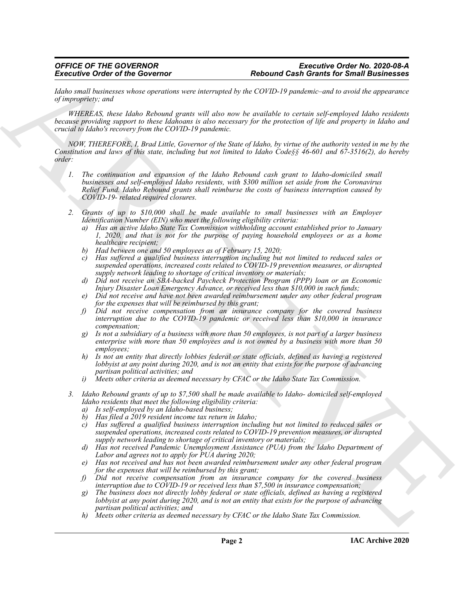*Idaho small businesses whose operations were interrupted by the COVID-19 pandemic–and to avoid the appearance of impropriety; and*

*WHEREAS, these Idaho Rebound grants will also now be available to certain self-employed Idaho residents because providing support to these Idahoans is also necessary for the protection of life and property in Idaho and crucial to Idaho's recovery from the COVID-19 pandemic.*

*NOW, THEREFORE, I, Brad Little, Governor of the State of Idaho, by virtue of the authority vested in me by the Constitution and laws of this state, including but not limited to Idaho Code§§ 46-601 and 67-3516(2), do hereby order:*

- Excellent Corbita of the Governor<br>
State and the core of the Governor corresponds by Collective Corresponds and the corresponding of the corresponding of the corresponding of the corresponding of the corresponding of the *1. The continuation and expansion of the Idaho Rebound cash grant to Idaho-domiciled small businesses and self-employed Idaho residents, with \$300 million set aside from the Coronavirus Relief Fund. Idaho Rebound grants shall reimburse the costs of business interruption caused by COVID-19- related required closures.*
	- *2. Grants of up to \$10,000 shall be made available to small businesses with an Employer Identification Number (EIN) who meet the following eligibility criteria:*
		- *a) Has an active Idaho State Tax Commission withholding account established prior to January 1, 2020, and that is not for the purpose of paying household employees or as a home healthcare recipient;*
		- *b) Had between one and 50 employees as of February 15, 2020;*
		- *c) Has suffered a qualified business interruption including but not limited to reduced sales or suspended operations, increased costs related to COVID-19 prevention measures, or disrupted supply network leading to shortage of critical inventory or materials;*
		- *d) Did not receive an SBA-backed Paycheck Protection Program (PPP) loan or an Economic Injury Disaster Loan Emergency Advance, or received less than \$10,000 in such funds;*
		- *e) Did not receive and have not been awarded reimbursement under any other federal program for the expenses that will be reimbursed by this grant;*
		- *f) Did not receive compensation from an insurance company for the covered business interruption due to the COVID-19 pandemic or received less than \$10,000 in insurance compensation;*
		- *g) Is not a subsidiary of a business with more than 50 employees, is not part of a larger business enterprise with more than 50 employees and is not owned by a business with more than 50 employees;*
		- *h) Is not an entity that directly lobbies federal or state officials, defined as having a registered lobbyist at any point during 2020, and is not an entity that exists for the purpose of advancing partisan political activities; and*
		- *i) Meets other criteria as deemed necessary by CFAC or the Idaho State Tax Commission.*
	- *3. Idaho Rebound grants of up to \$7,500 shall be made available to Idaho- domiciled self-employed Idaho residents that meet the following eligibility criteria:*
		- *a) Is self-employed by an Idaho-based business;*
		- *b) Has filed a 2019 resident income tax return in Idaho;*
		- *c) Has suffered a qualified business interruption including but not limited to reduced sales or suspended operations, increased costs related to COVID-19 prevention measures, or disrupted supply network leading to shortage of critical inventory or materials;*
		- *d) Has not received Pandemic Unemployment Assistance (PUA) from the Idaho Department of Labor and agrees not to apply for PUA during 2020;*
		- *e) Has not received and has not been awarded reimbursement under any other federal program for the expenses that will be reimbursed by this grant;*
		- *f) Did not receive compensation from an insurance company for the covered business interruption due to COVID-19 or received less than \$7,500 in insurance compensation;*
		- *g) The business does not directly lobby federal or state officials, defined as having a registered lobbyist at any point during 2020, and is not an entity that exists for the purpose of advancing partisan political activities; and*
		- *h) Meets other criteria as deemed necessary by CFAC or the Idaho State Tax Commission.*